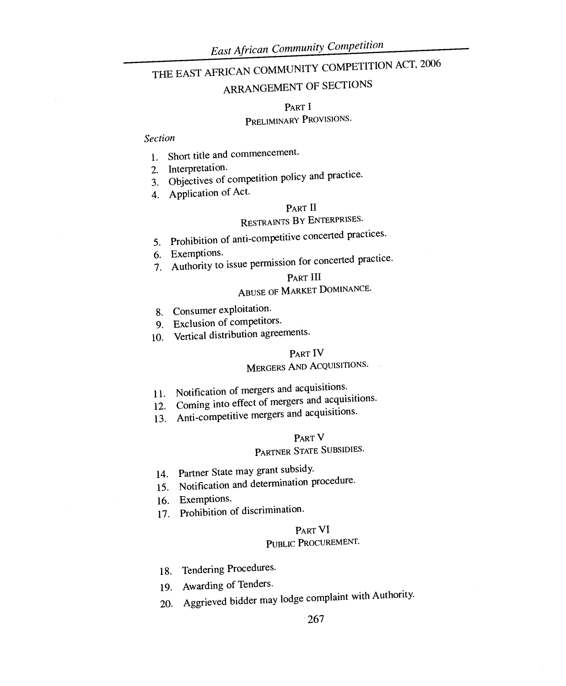# THE EAST AFRICAN COMMUNITY COMPETITION ACT, 2006

# ARRANGEMENT OF SECTIONS

#### PART I

# PRELIMINARY PROVISIONS.

### *Section*

- 1. Short title and commencement.
- 2. Interpretation.
- 3. Objectives of competition policy and practice.
- 4. Application of Act.

### PART II

# RESTRAINTS BY ENTERPRISES.

- 5. Prohibition of anti-competitive concerted practices.<br>6. Exemptions.
- 6. Exemptions.
- 7. Authority to issue permission for concerted practice.

### PART III

# ABUSE OF MARKET DOMINANCE.

- 8. Consumer exploitation.
- 9. Exclusion of competitors.
- 10. Vertical distribution agreements.

### PART IV

# MERGERS AND ACQUISITIONS.

- 11. Notification of mergers and acquisitions.
- 12. Coming into effect of mergers and acquisitions.
- 13. Anti-competitive mergers and acquisitions.

### PART V

# PARTNER STATE SUBSIDIES.

- 14. Partner State may grant subsidy.
- 15. Notification and determination procedure.
- 16. Exemptions.
- 17. Prohibition of discrimination.

#### PART VI

# PUBLIC PROCUREMENT.

- 18. Tendering Procedures.
- 19. Awarding of Tenders.
- 20. Aggrieved bidder may lodge complaint with Authority.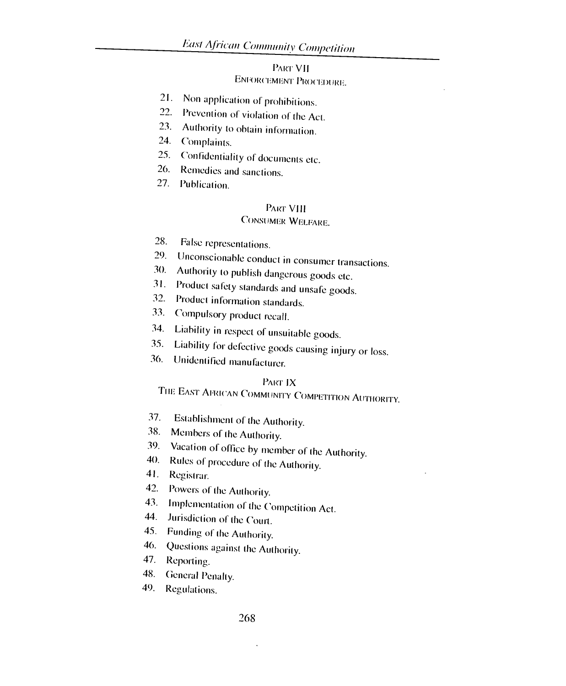# PART VII ENFORCEMENT PROCEDURE.

- 21. Non application of prohibitions.
- 22. Prevention of violation of the Act.
- 23. Authority to obtain information.
- 24. Complaints.
- 25. Confidentiality of documents etc.
- 26. Remedies and sanctions.
- 27. Publication.

#### PART VIII

# CONSUMER WELFARE.

- 28. False representations.
- 29. Unconscionable conduct in consumer transactions.
- 30. Authority to publish dangerous goods etc.
- 31. Product safety standards and unsafe goods.
- 32. Product information standards.
- 33. Compulsory product recall.
- 34. Liability in respect of unsuitable goods.
- 35. Liability for defective goods causing injury or loss.<br>36. Unidentified manufacture
- Unidentified manufacturer.

### PART IX

# THE EAST AFRICAN COMMUNITY COMPETITION AUTHORITY.

- 37. Establishment of the Authority.
- 38. Members of the Authority.
- 39. Vacation of office by member of the Authority.<br>40. Rules of procedure of the Authority.
- Rules of procedure of the Authority.
- 41. Registrar.
- 42. Powers of the Authority.
- 43. Implementation of the Competition Act.<br>44. Jurisdiction of the Court
- Jurisdiction of the Court.
- 45. Funding of the Authority.
- 46. Questions against the Authority.
- 47. Reporting.
- 48. General Penalty.
- 49. Regulations.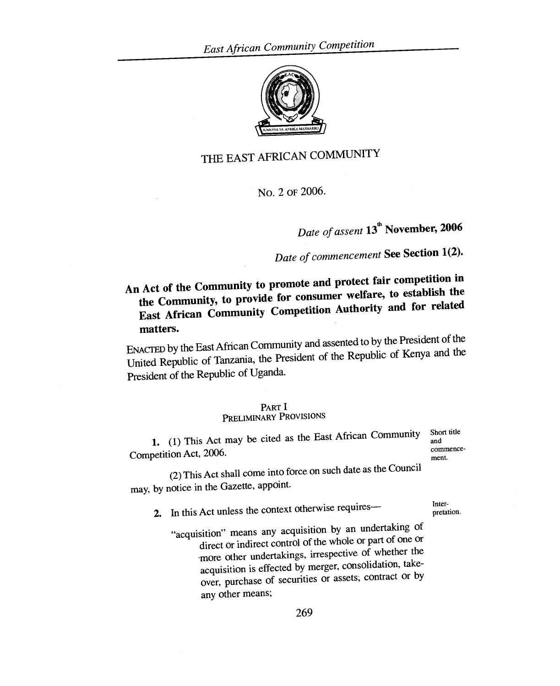

# THE EAST AFRICAN COMMUNITY

No. 2 OF 2006.

# *Date of assent* **13th November, 2006**

# *Date of commencement* **See Section 1(2).**

**An Act of the Community to promote and protect fair competition in the Community, to provide for consumer welfare, to establish the East African Community Competition Authority and for related matters.** 

ENACTED by the East African Community and assented to by the President of the<br>Least the Penublic of Kenya and the United Republic of Tanzania, the President of the Republic of Kenya and the President of the Republic of Uganda.

#### PART **I**

# PRELIMINARY PROVISIONS

1. (1) This Act may be cited as the East African Community Competition Act, 2006.

Short title and commencement.

(2) This Act shall come into force on such date as the Council may, by notice in the Gazette, appoint.

2. In this Act unless the context otherwise requires—

Interpretation.

"acquisition" means any acquisition by an undertaking of direct or indirect control of the whole or part of one or more other undertakings, irrespective of whether the acquisition is effected by merger, consolidation, takeover, purchase of securities or assets; contract or by any other means;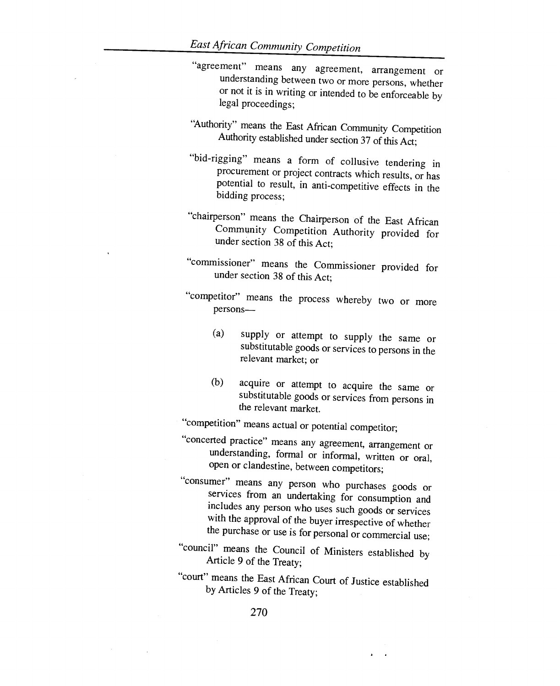- "agreement" means any agreement, arrangement or understanding between two or more persons, whether or not it is in writing or intended to be enforceable by legal proceedings;
- "Authority" means the East African Community Competition Authority established under section 37 of this Act;
- "bid-rigging" means a form of collusive tendering in procurement or project contracts which results, or has potential to result, in anti-competitive effects in the bidding process;
- "chairperson" means the Chairperson of the East African Community Competition Authority provided for under section 38 of this Act;
- "commissioner" means the Commissioner provided for under section 38 of this Act;
- "competitor" means the process whereby two or more persons—
	- (a) supply or attempt to supply the same or substitutable goods or services to persons in the relevant market; or
	- (b) acquire or attempt to acquire the same or substitutable goods or services from persons in the relevant market.

"competition" means actual or potential competitor;

- "concerted practice" means any agreement, arrangement or understanding, formal or informal, written or oral, open or clandestine, between competitors;
- "consumer" means any person who purchases goods or services from an undertaking for consumption and includes any person who uses such goods or services with the approval of the buyer irrespective of whether the purchase or use is for personal or commercial use;
- "council" means the Council of Ministers established by Article 9 of the Treaty;
- "court" means the East African Court of Justice established by Articles 9 of the Treaty;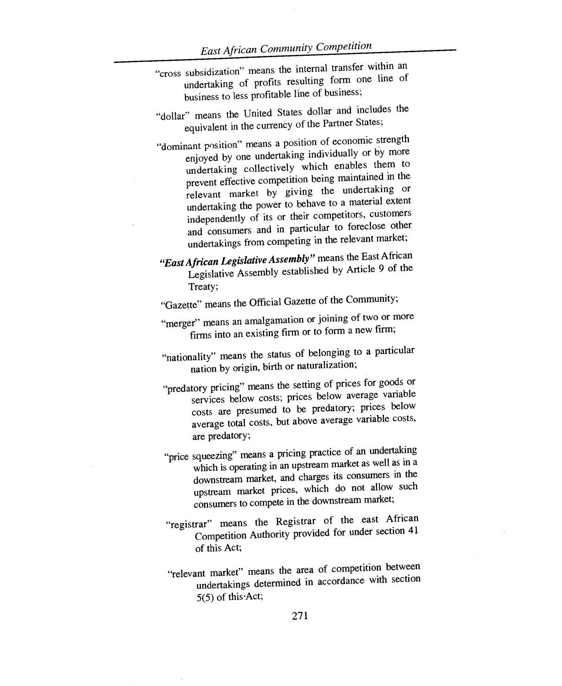- "cross subsidization" means the internal transfer within an undertaking of profits resulting form one line of business to less profitable line of business;
- "dollar" means the United States dollar and includes the equivalent in the currency of the Partner States;
- "dominant position" means a position of economic strength enjoyed by one undertaking individually or by more undertaking collectively which enables them to prevent effective competition being maintained in the relevant market by giving the undertaking or undertaking the power to behave to a material extent independently of its or their competitors, customers and consumers and in particular to foreclose other undertakings from competing in the relevant market;
- *"East African Legislative Assembly"* means the East African Legislative Assembly established by Article 9 of the Treaty;
- "Gazette" means the Official Gazette of the Community;
- "merger" means an amalgamation or joining of two or more firms into an existing firm or to form a new firm;
- "nationality" means the status of belonging to a particular nation by origin, birth or naturalization;
- "predatory pricing" means the setting of prices for goods or services below costs; prices below average variable costs are presumed to be predatory; prices below average total costs, but above average variable costs, are predatory;
- "price squeezing" means a pricing practice of an undertaking which is operating in an upstream market as well as in a downstream market, and charges its consumers in the upstream market prices, which do not allow such consumers to compete in the downstream market;
- "registrar" means the Registrar of the east African Competition Authority provided for under section 41 of this Act;
- "relevant market" means the area of competition between undertakings determined in accordance with section 5(5) of this•Act;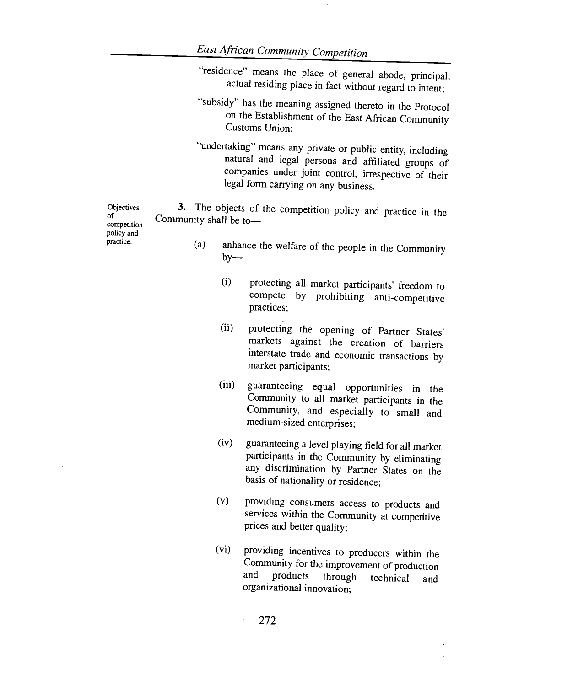"residence" means the place of general abode, principal, actual residing place in fact without regard to intent;

- "subsidy" has the meaning assigned thereto in the Protocol on the Establishment of the East African Community Customs Union;
- "undertaking" means any private or public entity, including natural and legal persons and affiliated groups of companies under joint control, irrespective of their legal form carrying on any business.

3. The objects of the competition policy and practice in the Community shall be to—

> (a) anhance the welfare of the people in the Community  $by-$

- protecting all market participants' freedom to compete by prohibiting anti-competitive practices; (i)
- (ii) protecting the opening of Partner States' markets against the creation of barriers interstate trade and economic transactions by market participants;
- (iii) guaranteeing equal opportunities in the Community to all market participants in the Community, and especially to small and medium-sized enterprises;
- (iv) guaranteeing a level playing field for all market participants in the Community by eliminating any discrimination by Partner States on the basis of nationality or residence;
- (v) providing consumers access to products and services within the Community at competitive prices and better quality;
- (vi) providing incentives to producers within the Community for the improvement of production<br>and products through technical and products through technical and organizational innovation;

**Objectives** of competition policy and practice.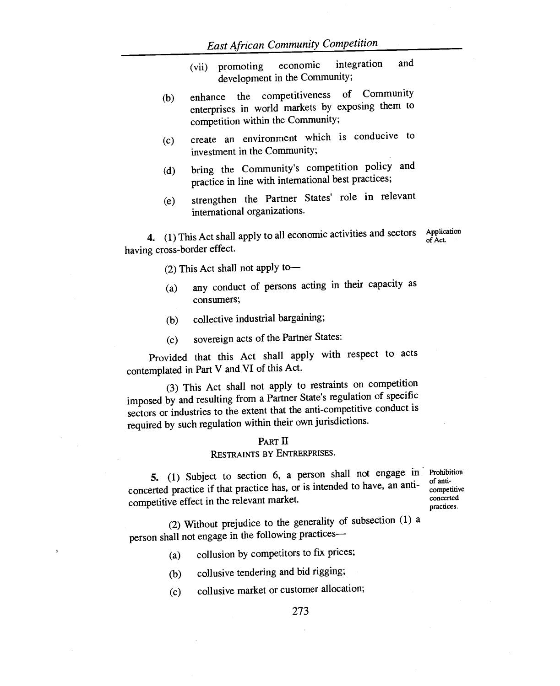- (vii) promoting economic integration and development in the Community;
- (b) enhance the competitiveness of Community enterprises in world markets by exposing them to competition within the Community;
- (c) create an environment which is conducive to investment in the Community;
- (d) bring the Community's competition policy and practice in line with international best practices;
- (e) strengthen the Partner States' role in relevant international organizations.

**4.** (1) This Act shall apply to all economic activities and sectors having cross-border effect.

Application of Act.

(2) This Act shall not apply to—

- (a) any conduct of persons acting in their capacity as consumers;
- (b) collective industrial bargaining;
- (c) sovereign acts of the Partner States:

Provided that this Act shall apply with respect to acts contemplated in Part V and VI of this Act.

(3) This Act shall not apply to restraints on competition imposed by and resulting from a Partner State's regulation of specific sectors or industries to the extent that the anti-competitive conduct is required by such regulation within their own jurisdictions.

#### PART II

### RESTRAINTS BY ENTRERPRISES.

**5.** (1) Subject to section 6, a person shall not engage in Prohibition concerted practice if that practice has, or is intended to have, an anti-<br>competitive of the relevant market<br>concerted competitive effect in the relevant market.

practices.

(2) Without prejudice to the generality of subsection (1) a person shall not engage in the following practices—

- (a) collusion by competitors to fix prices;
- (b) collusive tendering and bid rigging;
- (c) collusive market or customer allocation;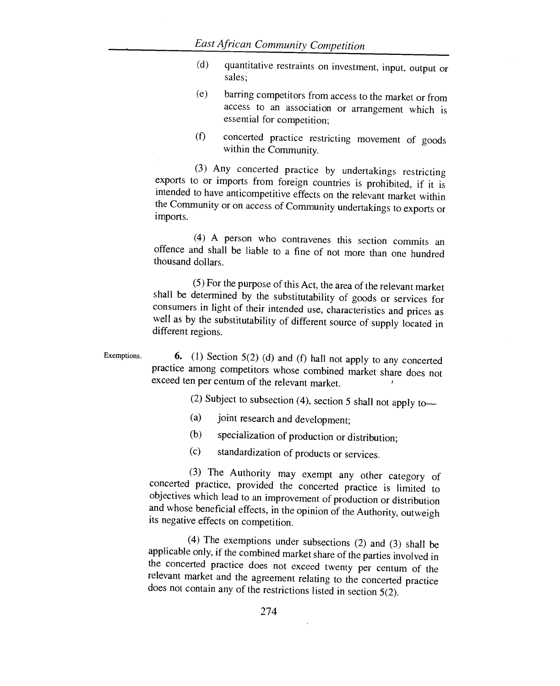- (d) quantitative restraints on investment, input, output or sales;
- (e) barring competitors from access to the market or from access to an association or arrangement which is essential for competition;
- (f) concerted practice restricting movement of goods within the Community.

(3) Any concerted practice by undertakings restricting exports to or imports from foreign countries is prohibited, if it is intended to have anticompetitive effects on the relevant market within the Community or on access of Community undertakings to exports or imports.

(4) A person who contravenes this section commits an offence and shall be liable to a fine of not more than one hundred thousand dollars.

(5) For the purpose of this Act, the area of the relevant market shall be determined by the substitutability of goods or services for consumers in light of their intended use, characteristics and prices as well as by the substitutability of different source of supply located in different regions.

Exemptions. **6.** (1) Section 5(2) (d) and (f) hall not apply to any concerted practice among competitors whose combined market share does not exceed ten per centum of the relevant market.

(2) Subject to subsection (4), section 5 shall not apply to—

- (a) joint research and development;
- (b) specialization of production or distribution;
- (c) standardization of products or services.

(3) The Authority may exempt any other category of concerted practice, provided the concerted practice is limited to objectives which lead to an improvement of production or distribution and whose beneficial effects, in the opinion of the Authority, outweigh its negative effects on competition.

(4) The exemptions under subsections (2) and (3) shall be applicable only, if the combined market share of the parties involved in the concerted practice does not exceed twenty per centum of the relevant market and the agreement relating to the concerted practice does not contain any of the restrictions listed in section 5(2).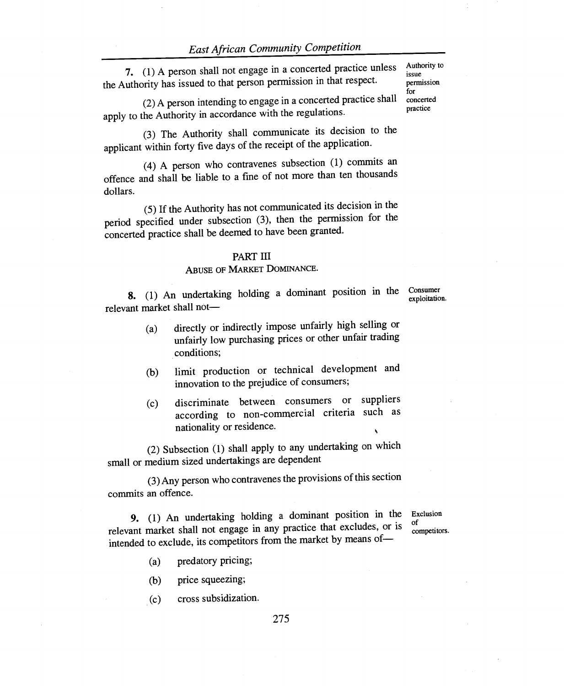7. (1) A person shall not engage in a concerted practice unless the Authority has issued to that person permission in that respect.

(2)A person intending to engage in a concerted practice shall apply to the Authority in accordance with the regulations.

(3) The Authority shall communicate its decision to the applicant within forty five days of the receipt of the application.

(4) A person who contravenes subsection (1) commits an offence and shall be liable to a fine of not more than ten thousands dollars.

(5) If the Authority has not communicated its decision in the period specified under subsection (3), then the permission for the concerted practice shall be deemed to have been granted.

#### PART III

#### ABUSE OF MARKET DOMINANCE.

**8.** (1) An undertaking holding a dominant position in the Consumer relevant market shall not exploitation.

- (a) directly or indirectly impose unfairly high selling or unfairly low purchasing prices or other unfair trading conditions;
- (b) limit production or technical development and innovation to the prejudice of consumers;
- (c) discriminate between consumers or suppliers according to non-commercial criteria such as nationality or residence.

(2) Subsection (1) shall apply to any undertaking on which small or medium sized undertakings are dependent

(3)Any person who contravenes the provisions of this section commits an offence.

**9.** (1) An undertaking holding a dominant position in the relevant market shall not engage in any practice that excludes, or is intended to exclude, its competitors from the market by means of—

Exclusion of competitors.

- (a) predatory pricing;
- (b) price squeezing;
- (c) cross subsidization.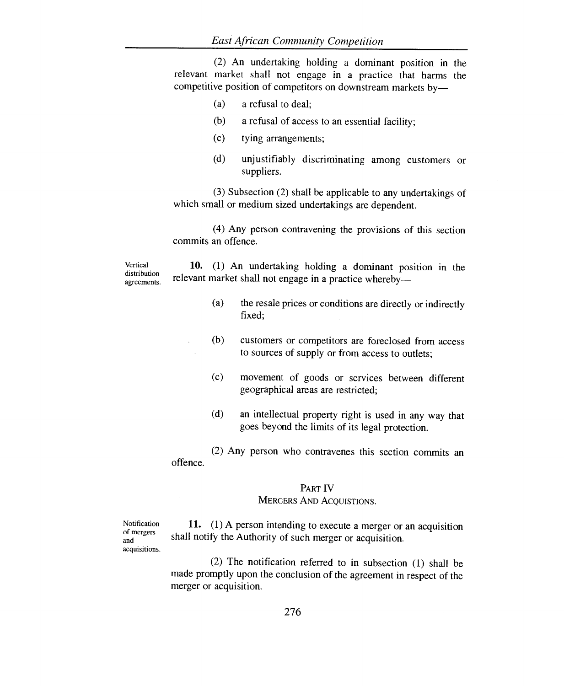(2) An undertaking holding a dominant position in the relevant market shall not engage in a practice that harms the competitive position of competitors on downstream markets by—

- (a) a refusal to deal;
- (b) a refusal of access to an essential facility;
- (c) tying arrangements;
- (d) unjustifiably discriminating among customers or suppliers.

(3) Subsection (2) shall be applicable to any undertakings of which small or medium sized undertakings are dependent.

(4) Any person contravening the provisions of this section commits an offence.

Vertical distribution agreements.

10. (1) An undertaking holding a dominant position in the relevant market shall not engage in a practice whereby—

- (a) the resale prices or conditions are directly or indirectly fixed;
- (b) customers or competitors are foreclosed from access to sources of supply or from access to outlets;
- (c) movement of goods or services between different geographical areas are restricted;
- (d) an intellectual property right is used in any way that goes beyond the limits of its legal protection.

(2) Any person who contravenes this section commits an offence.

#### PART IV

## MERGERS AND AGQUISTIONS.

Notification of mergers and acquisitions.

11. (1) A person intending to execute a merger or an acquisition shall notify the Authority of such merger or acquisition.

(2) The notification referred to in subsection (1) shall be made promptly upon the conclusion of the agreement in respect of the merger or acquisition.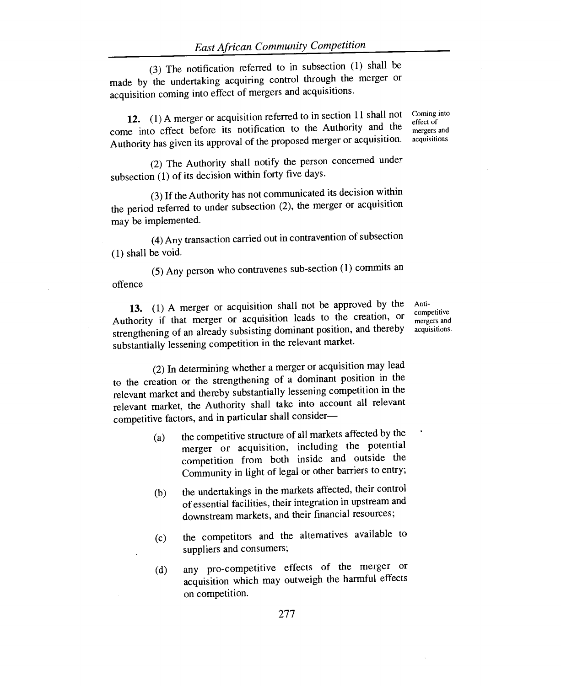(3) The notification referred to in subsection (1) shall be made by the undertaking acquiring control through the merger or acquisition coming into effect of mergers and acquisitions.

**12. (1)** A merger or acquisition referred to in section 11 shall not come into effect before its notification to the Authority and the Authority has given its approval of the proposed merger or acquisition.

(2) The Authority shall notify the person concerned under subsection (1) of its decision within forty five days.

(3) If the Authority has not communicated its decision within the period referred to under subsection (2), the merger or acquisition may be implemented.

(4)Any transaction carried out in contravention of subsection (1) shall be void.

(5) Any person who contravenes sub-section (1) commits an offence

**13.** (1) A merger or acquisition shall not be approved by the Authority if that merger or acquisition leads to the creation, or strengthening of an already subsisting dominant position, and thereby substantially lessening competition in the relevant market.

Anticompetitive mergers and acquisitions.

(2) In determining whether a merger or acquisition may lead to the creation or the strengthening of a dominant position in the relevant market and thereby substantially lessening competition in the relevant market, the Authority shall take into account all relevant competitive factors, and in particular shall consider—

- (a) the competitive structure of all markets affected by the merger or acquisition, including the potential competition from both inside and outside the Community in light of legal or other barriers to entry;
- (b) the undertakings in the markets affected, their control of essential facilities, their integration in upstream and downstream markets, and their financial resources;
- (c) the competitors and the alternatives available to suppliers and consumers;
- (d) any pro-competitive effects of the merger or acquisition which may outweigh the harmful effects on competition.

Coming into effect of mergers and acquisitions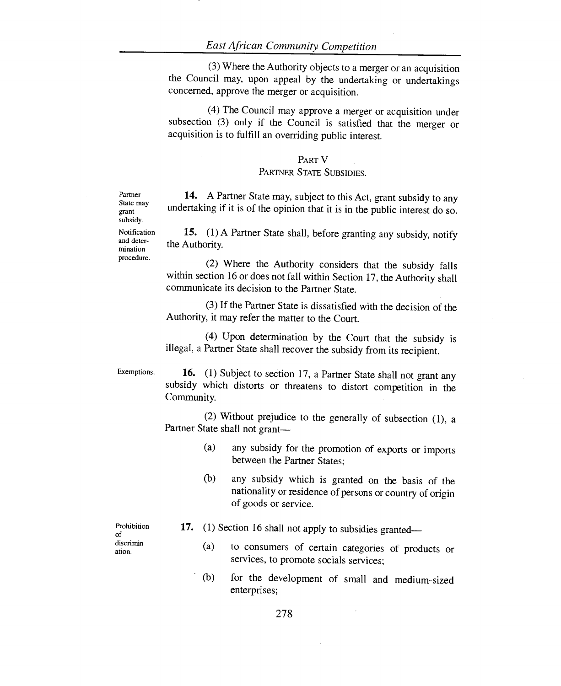(3) Where the Authority objects to a merger or an acquisition the Council may, upon appeal by the undertaking or undertakings concerned, approve the merger or acquisition.

(4) The Council may approve a merger or acquisition under subsection (3) only if the Council is satisfied that the merger or acquisition is to fulfill an overriding public interest.

#### PART V

#### PARTNER STATE SUBSIDIES.

14. A Partner State may, subject to this Act, grant subsidy to any undertaking if it is of the opinion that it is in the public interest do so.

15. (1) A Partner State shall, before granting any subsidy, notify the Authority.

(2) Where the Authority considers that the subsidy falls within section 16 or does not fall within Section 17, the Authority shall communicate its decision to the Partner State.

(3) If the Partner State is dissatisfied with the decision of the Authority, it may refer the matter to the Court.

(4) Upon determination by the Court that the subsidy is illegal, a Partner State shall recover the subsidy from its recipient.

Exemptions.

Prohibition of discrimination.

16. (1) Subject to section 17, a Partner State shall not grant any subsidy which distorts or threatens to distort competition in the Community.

(2) Without prejudice to the generally of subsection (1), a Partner State shall not grant—

- (a) any subsidy for the promotion of exports or imports between the Partner States;
- (b) any subsidy which is granted on the basis of the nationality or residence of persons or country of origin of goods or service.
- 17. (1) Section 16 shall not apply to subsidies granted—
	- (a) to consumers of certain categories of products or services, to promote socials services;
	- (b) for the development of small and medium-sized enterprises;

State may grant subsidy. Notification and determination procedure.

Partner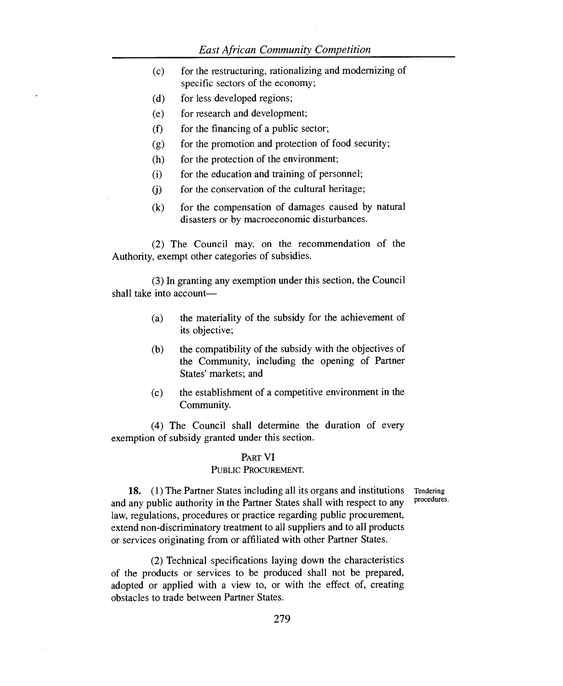### *East African Community Competition*

| (c) | for the restructuring, rationalizing and modernizing of |
|-----|---------------------------------------------------------|
|     | specific sectors of the economy;                        |

- (d) for less developed regions;
- (e) for research and development;
- $(f)$  for the financing of a public sector;
- (g) for the promotion and protection of food security;
- (h) for the protection of the environment;
- (i) for the education and training of personnel;
- (j) for the conservation of the cultural heritage;
- (k) for the compensation of damages caused by natural disasters or by macroeconomic disturbances.

(2) The Council may, on the recommendation of the Authority, exempt other categories of subsidies.

(3) In granting any exemption under this section, the Council shall take into account—

- (a) the materiality of the subsidy for the achievement of its objective;
- (b) the compatibility of the subsidy with the objectives of the Community, including the opening of Partner States' markets; and
- (c) the establishment of a competitive environment in the Community.

(4) The Council shall determine the duration of every exemption of subsidy granted under this section.

### PART VI

#### PUBLIC PROCUREMENT.

procedures.

18. (1) The Partner States including all its organs and institutions Tendering and any public authority in the Partner States shall with respect to any law, regulations, procedures or practice regarding public procurement, extend non-discriminatory treatment to all suppliers and to all products or services originating from or affiliated with other Partner States.

(2) Technical specifications laying down the characteristics of the products or services to be produced shall not be prepared, adopted or applied with a view to, or with the effect of, creating obstacles to trade between Partner States.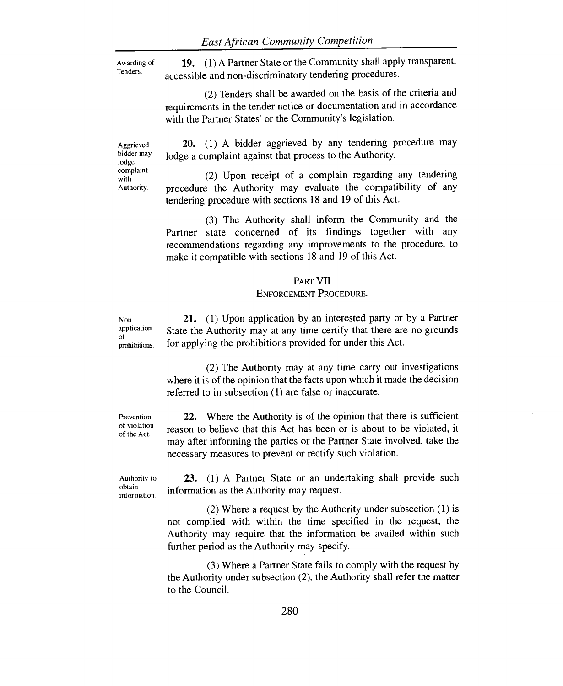Awarding of Tenders.

19. (1) A Partner State or the Community shall apply transparent, accessible and non-discriminatory tendering procedures.

(2) Tenders shall be awarded on the basis of the criteria and requirements in the tender notice or documentation and in accordance with the Partner States' or the Community's legislation.

Aggrieved bidder may lodge complaint with Authority.

20. (1) A bidder aggrieved by any tendering procedure may lodge a complaint against that process to the Authority.

(2) Upon receipt of a complain regarding any tendering procedure the Authority may evaluate the compatibility of any tendering procedure with sections 18 and 19 of this Act.

(3) The Authority shall inform the Community and the Partner state concerned of its findings together with any recommendations regarding any improvements to the procedure, to make it compatible with sections 18 and 19 of this Act.

#### PART VII

#### ENFORCEMENT PROCEDURE.

application prohibitions. 21. (1) Upon application by an interested party or by a Partner State the Authority may at any time certify that there are no grounds for applying the prohibitions provided for under this Act.

> (2) The Authority may at any time carry out investigations where it is of the opinion that the facts upon which it made the decision referred to in subsection (1) are false or inaccurate.

Prevention of violation of the Act.

Non

of

22. Where the Authority is of the opinion that there is sufficient reason to believe that this Act has been or is about to be violated, it may after informing the parties or the Partner State involved, take the necessary measures to prevent or rectify such violation.

Authority to obtain information.

23. (1) A Partner State or an undertaking shall provide such information as the Authority may request.

(2) Where a request by the Authority under subsection (1) is not complied with within the time specified in the request, the Authority may require that the information be availed within such further period as the Authority may specify.

(3) Where a Partner State fails to comply with the request by the Authority under subsection (2), the Authority shall refer the matter to the Council.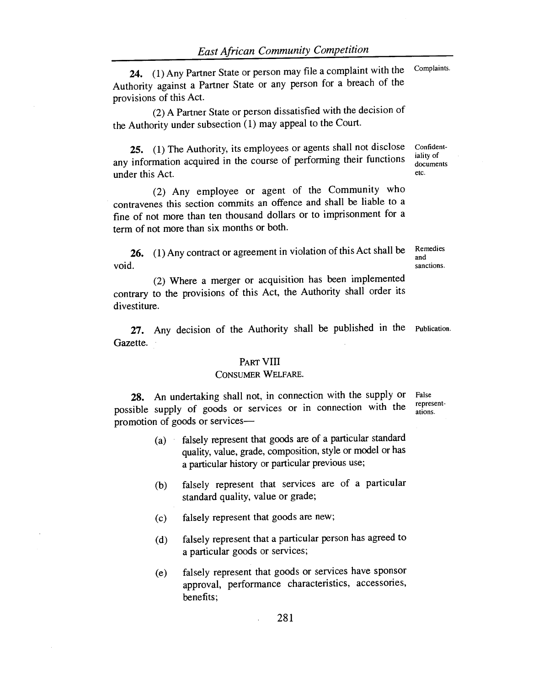24. (1) Any Partner State or person may file a complaint with the Authority against a Partner State or any person for a breach of the provisions of this Act.

(2) A Partner State or person dissatisfied with the decision of the Authority under subsection (1) may appeal to the Court.

25. (1) The Authority, its employees or agents shall not disclose Confidentany information acquired in the course of performing their functions documents under this Act. etc.

(2) Any employee or agent of the Community who contravenes this section commits an offence and shall be liable to a fine of not more than ten thousand dollars or to imprisonment for a term of not more than six months or both.

26. (1) Any contract or agreement in violation of this Act shall be void.

(2) Where a merger or acquisition has been implemented contrary to the provisions of this Act, the Authority shall order its divestiture.

27. Any decision of the Authority shall be published in the Publication. Gazette.

#### PART **VIII**

#### CONSUMER WELFARE.

28. An undertaking shall not, in connection with the supply or possible supply of goods or services or in connection with the promotion of goods or services—

- (a) falsely represent that goods are of a particular standard quality, value, grade, composition, style or model or has a particular history or particular previous use;
- (b) falsely represent that services are of a particular standard quality, value or grade;
- (c) falsely represent that goods are new;
- (d) falsely represent that a particular person has agreed to a particular goods or services;
- (e) falsely represent that goods or services have sponsor approval, performance characteristics, accessories, benefits;

False representations.

iality of

Remedies and sanctions.

Complaints.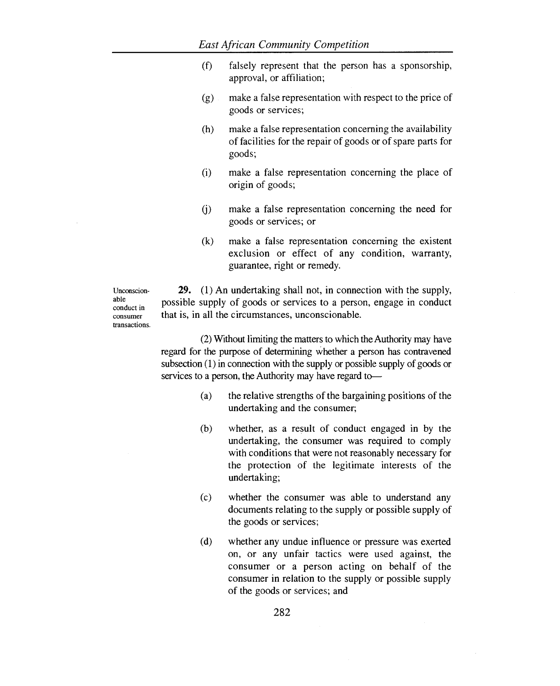- (f) falsely represent that the person has a sponsorship, approval, or affiliation;
- (g) make a false representation with respect to the price of goods or services;
- (h) make a false representation concerning the availability of facilities for the repair of goods or of spare parts for goods;
- (i) make a false representation concerning the place of origin of goods;
- (j) make a false representation concerning the need for goods or services; or
- (k) make a false representation concerning the existent exclusion or effect of any condition, warranty, guarantee, right or remedy.

Unconscionable conduct in consumer transactions.

**29.** (1) An undertaking shall not, in connection with the supply, possible supply of goods or services to a person, engage in conduct that is, in all the circumstances, unconscionable.

(2) Without limiting the matters to which the Authority may have regard for the purpose of determining whether a person has contravened subsection (1) in connection with the supply or possible supply of goods or services to a person, the Authority may have regard to—

- (a) the relative strengths of the bargaining positions of the undertaking and the consumer;
- (b) whether, as a result of conduct engaged in by the undertaking, the consumer was required to comply with conditions that were not reasonably necessary for the protection of the legitimate interests of the undertaking;
- (c) whether the consumer was able to understand any documents relating to the supply or possible supply of the goods or services;
- (d) whether any undue influence or pressure was exerted on, or any unfair tactics were used against, the consumer or a person acting on behalf of the consumer in relation to the supply or possible supply of the goods or services; and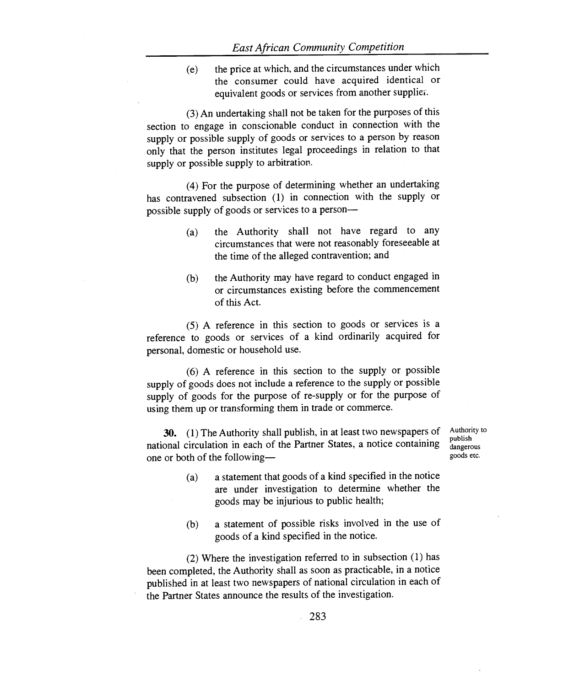(e) the price at which, and the circumstances under which the consumer could have acquired identical or equivalent goods or services from another suppliei.

(3) An undertaking shall not be taken for the purposes of this section to engage in conscionable conduct in connection with the supply or possible supply of goods or services to a person by reason only that the person institutes legal proceedings in relation to that supply or possible supply to arbitration.

(4) For the purpose of determining whether an undertaking has contravened subsection (1) in connection with the supply or possible supply of goods or services to a person—

- (a) the Authority shall not have regard to any circumstances that were not reasonably foreseeable at the time of the alleged contravention; and
- (b) the Authority may have regard to conduct engaged in or circumstances existing before the commencement of this Act.

(5) A reference in this section to goods or services is a reference to goods or services of a kind ordinarily acquired for personal, domestic or household use.

(6) A reference in this section to the supply or possible supply of goods does not include a reference to the supply or possible supply of goods for the purpose of re-supply or for the purpose of using them up or transforming them in trade or commerce.

**30.** (1) The Authority shall publish, in at least two newspapers of national circulation in each of the Partner States, a notice containing one or both of the following—

Authority to publish dangerous goods etc.

- (a) a statement that goods of a kind specified in the notice are under investigation to determine whether the goods may be injurious to public health;
- (b) a statement of possible risks involved in the use of goods of a kind specified in the notice.

(2) Where the investigation referred to in subsection (1) has been completed, the Authority shall as soon as practicable, in a notice published in at least two newspapers of national circulation in each of the Partner States announce the results of the investigation.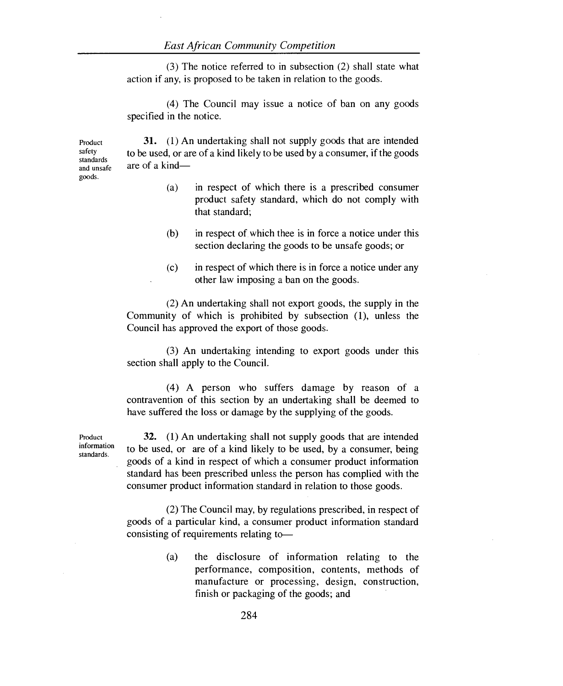(3) The notice referred to in subsection (2) shall state what action if any, is proposed to be taken in relation to the goods.

(4) The Council may issue a notice of ban on any goods specified in the notice.

Product safety standards and unsafe goods.

31. (1) An undertaking shall not supply goods that are intended to be used, or are of a kind likely to be used by a consumer, if the goods are of a kind—

- (a) in respect of which there is a prescribed consumer product safety standard, which do not comply with that standard;
- (b) in respect of which thee is in force a notice under this section declaring the goods to be unsafe goods; or
- (c) in respect of which there is in force a notice under any other law imposing a ban on the goods.

(2) An undertaking shall not export goods, the supply in the Community of which is prohibited by subsection (1), unless the Council has approved the export of those goods.

(3) An undertaking intending to export goods under this section shall apply to the Council.

(4) A person who suffers damage by reason of a contravention of this section by an undertaking shall be deemed to have suffered the loss or damage by the supplying of the goods.

32. (1) An undertaking shall not supply goods that are intended to be used, or are of a kind likely to be used, by a consumer, being goods of a kind in respect of which a consumer product information standard has been prescribed unless the person has complied with the consumer product information standard in relation to those goods.

(2) The Council may, by regulations prescribed, in respect of goods of a particular kind, a consumer product information standard consisting of requirements relating to—

> (a) the disclosure of information relating to the performance, composition, contents, methods of manufacture or processing, design, construction, finish or packaging of the goods; and

standards.

Product information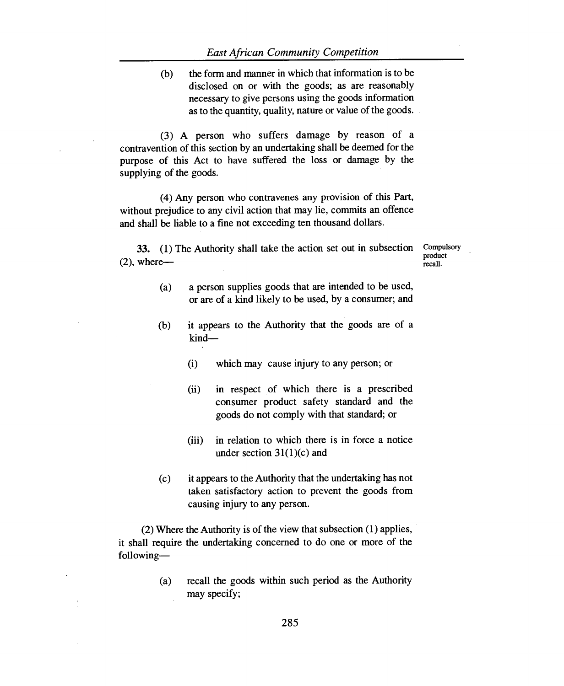(b) the form and manner in which that information is to be disclosed on or with the goods; as are reasonably necessary to give persons using the goods information as to the quantity, quality, nature or value of the goods.

(3) A person who suffers damage by reason of a contravention of this section by an undertaking shall be deemed for the purpose of this Act to have suffered the loss or damage by the supplying of the goods.

(4) Any person who contravenes any provision of this Part, without prejudice to any civil action that may lie, commits an offence and shall be liable to a fine not exceeding ten thousand dollars.

**33.** (1) The Authority shall take the action set out in subsection  $(2)$ , where—

Compulsory product recall.

- (a) a person supplies goods that are intended to be used, or are of a kind likely to be used, by a consumer; and
- (b) it appears to the Authority that the goods are of a kind—
	- (i) which may cause injury to any person; or
	- (ii) in respect of which there is a prescribed consumer product safety standard and the goods do not comply with that standard; or
	- (iii) in relation to which there is in force a notice under section  $31(1)(c)$  and
- (c) it appears to the Authority that the undertaking has not taken satisfactory action to prevent the goods from causing injury to any person.

(2) Where the Authority is of the view that subsection (1) applies, it shall require the undertaking concerned to do one or more of the following—

> (a) recall the goods within such period as the Authority may specify;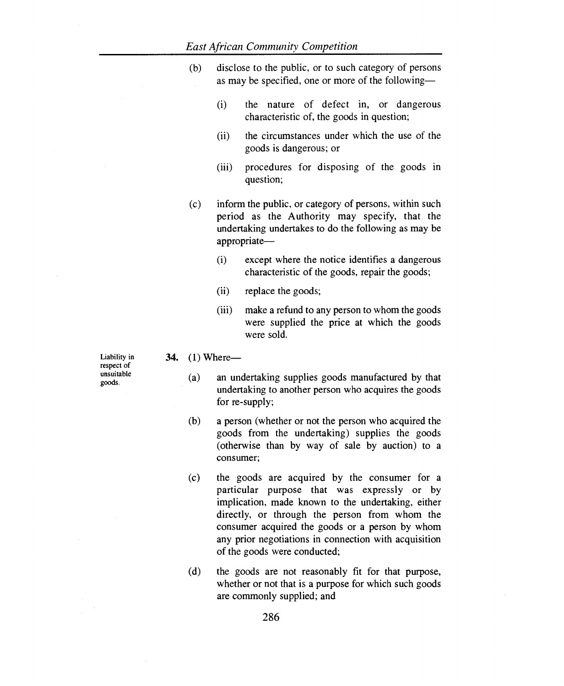- (b) disclose to the public, or to such category of persons as may be specified, one or more of the following-
	- (i) the nature of defect in, or dangerous characteristic of, the goods in question;
	- (ii) the circumstances under which the use of the goods is dangerous; or
	- (iii) procedures for disposing of the goods in question;
- (c) inform the public, or category of persons, within such period as the Authority may specify, that the undertaking undertakes to do the following as may be appropriate-
	- (i) except where the notice identifies a dangerous characteristic of the goods, repair the goods;
	- (ii) replace the goods;
	- (iii) make a refund to any person to whom the goods were supplied the price at which the goods were sold.

#### **34.** (1) Where-

- (a) an undertaking supplies goods manufactured by that undertaking to another person who acquires the goods for re-supply;
- (b) a person (whether or not the person who acquired the goods from the undertaking) supplies the goods (otherwise than by way of sale by auction) to a consumer;
- (c) the goods are acquired by the consumer for a particular purpose that was expressly or by implication, made known to the undertaking, either directly, or through the person from whom the consumer acquired the goods or a person by whom any prior negotiations in connection with acquisition of the goods were conducted;
- (d) the goods are not reasonably fit for that purpose, whether or not that is a purpose for which such goods are commonly supplied; and

Liability in respect of unsuitable goods.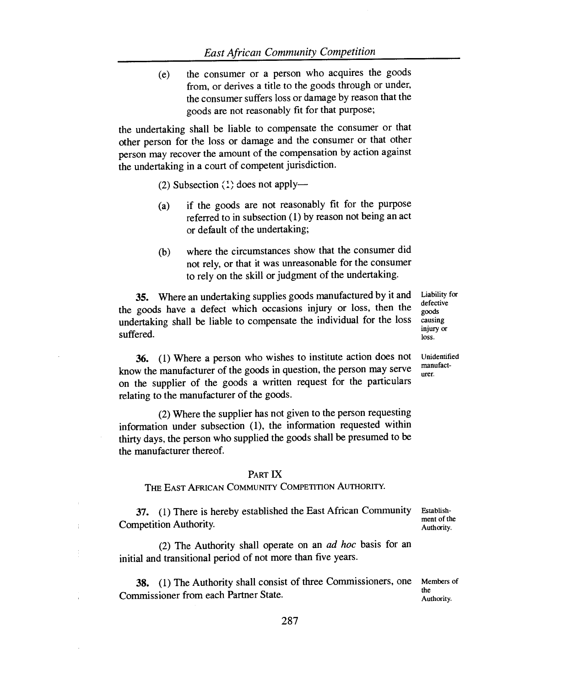(e) the consumer or a person who acquires the goods from, or derives a title to the goods through or under, the consumer suffers loss or damage by reason that the goods are not reasonably fit for that purpose;

the undertaking shall be liable to compensate the consumer or that other person for the loss or damage and the consumer or that other person may recover the amount of the compensation by action against the undertaking in a court of competent jurisdiction.

(2) Subsection (1) does not apply—

- (a) if the goods are not reasonably fit for the purpose referred to in subsection (1) by reason not being an act or default of the undertaking;
- (b) where the circumstances show that the consumer did not rely, or that it was unreasonable for the consumer to rely on the skill or judgment of the undertaking.

35. Where an undertaking supplies goods manufactured by it and the goods have a defect which occasions injury or loss, then the undertaking shall be liable to compensate the individual for the loss suffered.

36. (1) Where a person who wishes to institute action does not know the manufacturer of the goods in question, the person may serve on the supplier of the goods a written request for the particulars relating to the manufacturer of the goods.

(2) Where the supplier has not given to the person requesting information under subsection (1), the information requested within thirty days, the person who supplied the goods shall be presumed to be the manufacturer thereof.

#### PART IX

#### THE EAST AFRICAN COMMUNITY COMPETITION AUTHORITY.

37. (1) There is hereby established the East African Community Competition Authority. Authority.

(2) The Authority shall operate on an *ad hoc* basis for an initial and transitional period of not more than five years.

**38.** (1) The Authority shall consist of three Commissioners, one Members of Commissioner from each Partner State.

Liability for defective goods causing injury or loss.

Unidentified manufacturer.

Establishment of the

Authority.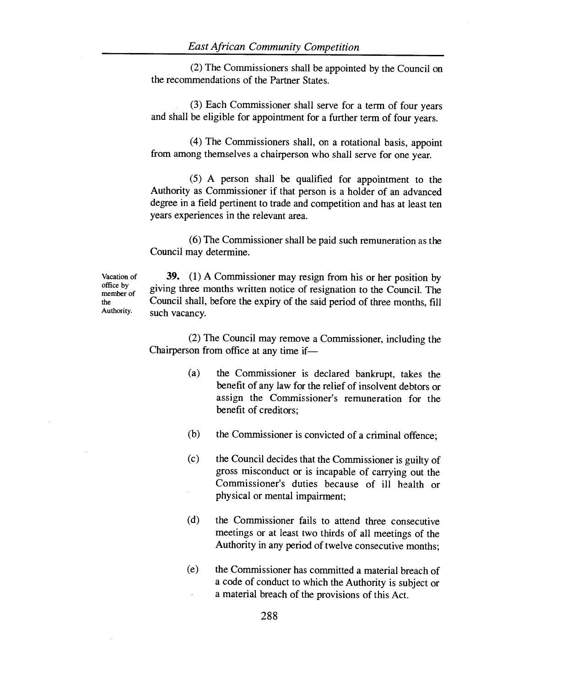(2) The Commissioners shall be appointed by the Council on the recommendations of the Partner States.

(3) Each Commissioner shall serve for a term of four years and shall be eligible for appointment for a further term of four years.

(4) The Commissioners shall, on a rotational basis, appoint from among themselves a chairperson who shall serve for one year.

(5) A person shall be qualified for appointment to the Authority as Commissioner if that person is a holder of an advanced degree in a field pertinent to trade and competition and has at least ten years experiences in the relevant area.

(6) The Commissioner shall be paid such remuneration as the Council may determine.

Vacation of office by member of the Authority.

**39. (1)** A Commissioner may resign from his or her position by giving three months written notice of resignation to the Council. The Council shall, before the expiry of the said period of three months, fill such vacancy.

(2) The Council may remove a Commissioner, including the Chairperson from office at any time if—

- (a) the Commissioner is declared bankrupt, takes the benefit of any law for the relief of insolvent debtors or assign the Commissioner's remuneration for the benefit of creditors;
- (b) the Commissioner is convicted of a criminal offence;
- (c) the Council decides that the Commissioner is guilty of gross misconduct or is incapable of carrying out the Commissioner's duties because of ill health or physical or mental impairment;
- (d) the Commissioner fails to attend three consecutive meetings or at least two thirds of all meetings of the Authority in any period of twelve consecutive months;
- (e) the Commissioner has committed a material breach of a code of conduct to which the Authority is subject or a material breach of the provisions of this Act.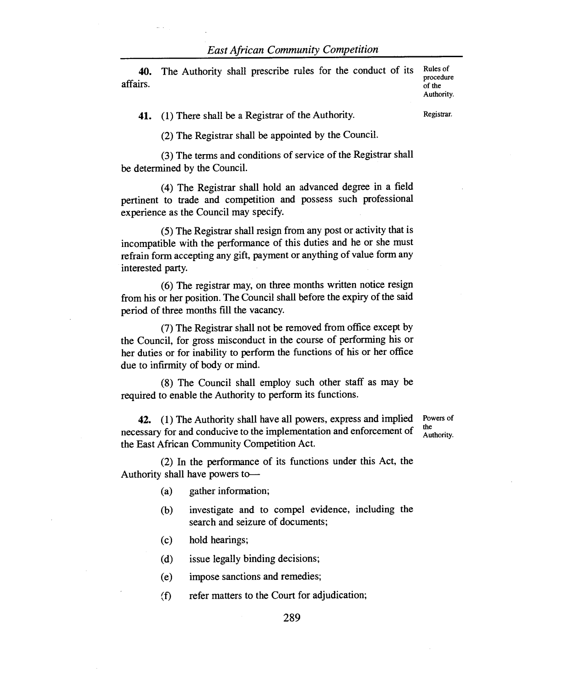**40.** The Authority shall prescribe rules for the conduct of its affairs.

Rules of procedure of the Authority.

**41.** (1) There shall be a Registrar of the Authority.

Registrar.

(2) The Registrar shall be appointed by the Council.

(3) The terms and conditions of service of the Registrar shall be determined by the Council.

(4) The Registrar shall hold an advanced degree in a field pertinent to trade and competition and possess such professional experience as the Council may specify.

(5) The Registrar shall resign from any post or activity that is incompatible with the performance of this duties and he or she must refrain form accepting any gift, payment or anything of value form any interested party.

(6) The registrar may, on three months written notice resign from his or her position. The Council shall before the expiry of the said period of three months fill the vacancy.

(7) The Registrar shall not be removed from office except by the Council, for gross misconduct in the course of performing his or her duties or for inability to perform the functions of his or her office due to infirmity of body or mind.

(8) The Council shall employ such other staff as may be required to enable the Authority to perform its functions.

**42.** (1) The Authority shall have all powers, express and implied necessary for and conducive to the implementation and enforcement of the East African Community Competition Act. the

Powers of Authority.

(2) In the performance of its functions under this Act, the Authority shall have powers to—

- (a) gather information;
- (b) investigate and to compel evidence, including the search and seizure of documents;
- (c) hold hearings;

(d) issue legally binding decisions;

- (e) impose sanctions and remedies;
- (f) refer matters to the Court for adjudication;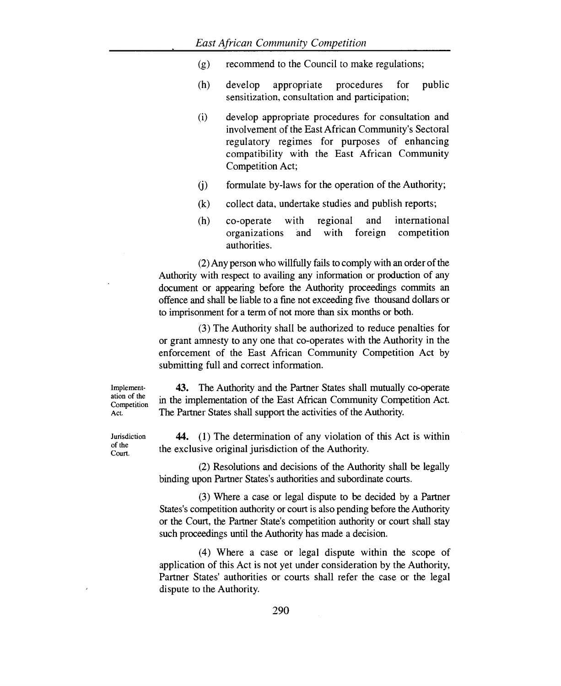- (g) recommend to the Council to make regulations;
- (h) develop appropriate procedures for public sensitization, consultation and participation;
- (i) develop appropriate procedures for consultation and involvement of the East African Community's Sectoral regulatory regimes for purposes of enhancing compatibility with the East African Community Competition Act;
- (j) formulate by-laws for the operation of the Authority;
- (k) collect data, undertake studies and publish reports;
- (h) co-operate with regional and international organizations and with foreign competition authorities.

(2)Any person who willfully fails to comply with an order of the Authority with respect to availing any information or production of any document or appearing before the Authority proceedings commits an offence and shall be liable to a fine not exceeding five thousand dollars or to imprisonment for a term of not more than six months or both.

(3) The Authority shall be authorized to reduce penalties for or grant amnesty to any one that co-operates with the Authority in the enforcement of the East African Community Competition Act by submitting full and correct information.

Implementation of the Competition Act.

43. The Authority and the Partner States shall mutually co-operate in the implementation of the East African Community Competition Act. The Partner States shall support the activities of the Authority.

44. (1) The determination of any violation of this Act is within the exclusive original jurisdiction of the Authority.

(2) Resolutions and decisions of the Authority shall be legally binding upon Partner States's authorities and subordinate courts.

(3) Where a case or legal dispute to be decided by a Partner States's competition authority or court is also pending before the Authority or the Court, the Partner State's competition authority or court shall stay such proceedings until the Authority has made a decision.

(4) Where a case or legal dispute within the scope of application of this Act is not yet under consideration by the Authority, Partner States' authorities or courts shall refer the case or the legal dispute to the Authority.

Jurisdiction of the

Court.